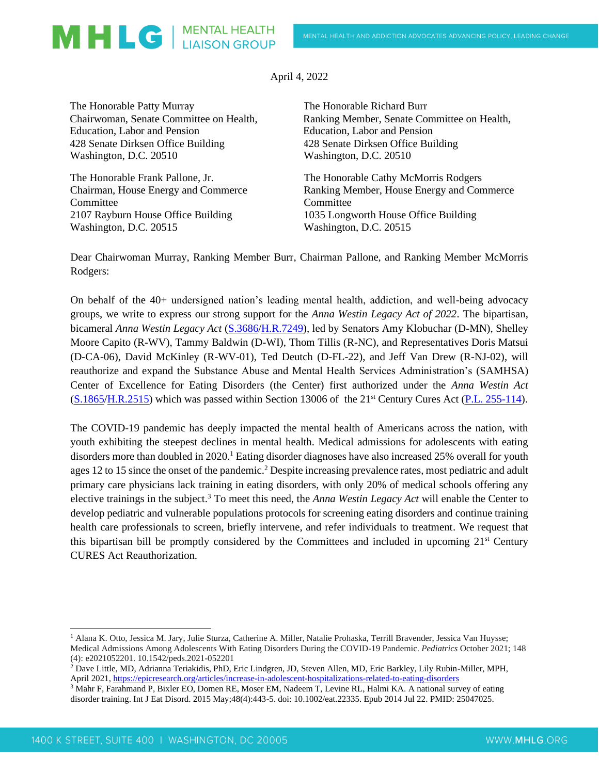## MHLG | MENTAL HEALTH

April 4, 2022

The Honorable Patty Murray Chairwoman, Senate Committee on Health, Education, Labor and Pension 428 Senate Dirksen Office Building Washington, D.C. 20510

The Honorable Frank Pallone, Jr. Chairman, House Energy and Commerce Committee 2107 Rayburn House Office Building Washington, D.C. 20515

The Honorable Richard Burr Ranking Member, Senate Committee on Health, Education, Labor and Pension 428 Senate Dirksen Office Building Washington, D.C. 20510

The Honorable Cathy McMorris Rodgers Ranking Member, House Energy and Commerce **Committee** 1035 Longworth House Office Building Washington, D.C. 20515

Dear Chairwoman Murray, Ranking Member Burr, Chairman Pallone, and Ranking Member McMorris Rodgers:

On behalf of the 40+ undersigned nation's leading mental health, addiction, and well-being advocacy groups, we write to express our strong support for the *Anna Westin Legacy Act of 2022*. The bipartisan, bicameral *Anna Westin Legacy Act* [\(S.3686](https://www.congress.gov/bill/117th-congress/senate-bill/3686?q=%7B%22search%22%3A%5B%22%22%5D%7D&s=3&r=1)[/H.R.7249\)](https://www.congress.gov/bill/117th-congress/house-bill/7249?q=%7B%22search%22%3A%5B%22congressId%3A117+AND+billStatus%3A%5C%22Introduced%5C%22%22%5D%7D&s=1&r=11), led by Senators Amy Klobuchar (D-MN), Shelley Moore Capito (R-WV), Tammy Baldwin (D-WI), Thom Tillis (R-NC), and Representatives Doris Matsui (D-CA-06), David McKinley (R-WV-01), Ted Deutch (D-FL-22), and Jeff Van Drew (R-NJ-02), will reauthorize and expand the Substance Abuse and Mental Health Services Administration's (SAMHSA) Center of Excellence for Eating Disorders (the Center) first authorized under the *Anna Westin Act* [\(S.1865](https://www.congress.gov/bill/114th-congress/senate-bill/1865)[/H.R.2515\)](https://www.congress.gov/bill/114th-congress/house-bill/2515?r=75&s=1) which was passed within Section 13006 of the 21st Century Cures Act [\(P.L. 255-114\)](https://www.govinfo.gov/content/pkg/PLAW-114publ255/pdf/PLAW-114publ255.pdf).

The COVID-19 pandemic has deeply impacted the mental health of Americans across the nation, with youth exhibiting the steepest declines in mental health. Medical admissions for adolescents with eating disorders more than doubled in 2020.<sup>1</sup> Eating disorder diagnoses have also increased 25% overall for youth ages 12 to 15 since the onset of the pandemic.<sup>2</sup> Despite increasing prevalence rates, most pediatric and adult primary care physicians lack training in eating disorders, with only 20% of medical schools offering any elective trainings in the subject.<sup>3</sup> To meet this need, the *Anna Westin Legacy Act* will enable the Center to develop pediatric and vulnerable populations protocols for screening eating disorders and continue training health care professionals to screen, briefly intervene, and refer individuals to treatment. We request that this bipartisan bill be promptly considered by the Committees and included in upcoming 21st Century CURES Act Reauthorization.

<sup>1</sup> Alana K. Otto, Jessica M. Jary, Julie Sturza, Catherine A. Miller, Natalie Prohaska, Terrill Bravender, Jessica Van Huysse; Medical Admissions Among Adolescents With Eating Disorders During the COVID-19 Pandemic. *Pediatrics* October 2021; 148 (4): e2021052201. 10.1542/peds.2021-052201

<sup>2</sup> Dave Little, MD, Adrianna Teriakidis, PhD, Eric Lindgren, JD, Steven Allen, MD, Eric Barkley, Lily Rubin-Miller, MPH, April 2021,<https://epicresearch.org/articles/increase-in-adolescent-hospitalizations-related-to-eating-disorders>

<sup>3</sup> Mahr F, Farahmand P, Bixler EO, Domen RE, Moser EM, Nadeem T, Levine RL, Halmi KA. A national survey of eating disorder training. Int J Eat Disord. 2015 May;48(4):443-5. doi: 10.1002/eat.22335. Epub 2014 Jul 22. PMID: 25047025.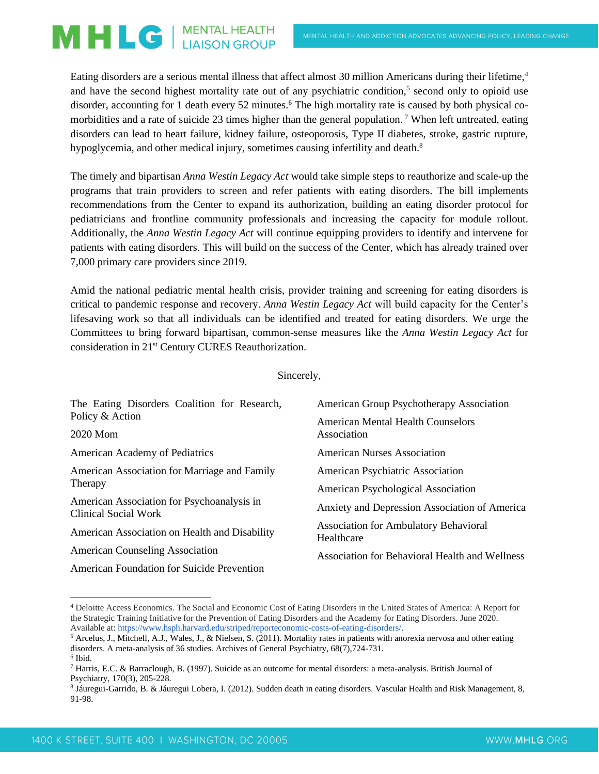## MHLG | MENTAL HEALTH

Eating disorders are a serious mental illness that affect almost 30 million Americans during their lifetime,<sup>4</sup> and have the second highest mortality rate out of any psychiatric condition,<sup>5</sup> second only to opioid use disorder, accounting for 1 death every 52 minutes.<sup>6</sup> The high mortality rate is caused by both physical comorbidities and a rate of suicide 23 times higher than the general population.<sup>7</sup> When left untreated, eating disorders can lead to heart failure, kidney failure, osteoporosis, Type II diabetes, stroke, gastric rupture, hypoglycemia, and other medical injury, sometimes causing infertility and death.<sup>8</sup>

The timely and bipartisan *Anna Westin Legacy Act* would take simple steps to reauthorize and scale-up the programs that train providers to screen and refer patients with eating disorders. The bill implements recommendations from the Center to expand its authorization, building an eating disorder protocol for pediatricians and frontline community professionals and increasing the capacity for module rollout. Additionally, the *Anna Westin Legacy Act* will continue equipping providers to identify and intervene for patients with eating disorders. This will build on the success of the Center, which has already trained over 7,000 primary care providers since 2019.

Amid the national pediatric mental health crisis, provider training and screening for eating disorders is critical to pandemic response and recovery. *Anna Westin Legacy Act* will build capacity for the Center's lifesaving work so that all individuals can be identified and treated for eating disorders. We urge the Committees to bring forward bipartisan, common-sense measures like the *Anna Westin Legacy Act* for consideration in 21st Century CURES Reauthorization.

## Sincerely,

| The Eating Disorders Coalition for Research,                       | American Group Psychotherapy Association                   |
|--------------------------------------------------------------------|------------------------------------------------------------|
| Policy & Action                                                    | American Mental Health Counselors                          |
| 2020 Mom                                                           | Association                                                |
| American Academy of Pediatrics                                     | American Nurses Association                                |
| American Association for Marriage and Family<br>Therapy            | American Psychiatric Association                           |
|                                                                    | American Psychological Association                         |
| American Association for Psychoanalysis in<br>Clinical Social Work | Anxiety and Depression Association of America              |
| American Association on Health and Disability                      | <b>Association for Ambulatory Behavioral</b><br>Healthcare |
| <b>American Counseling Association</b>                             | Association for Behavioral Health and Wellness             |
| American Foundation for Suicide Prevention                         |                                                            |

<sup>4</sup> Deloitte Access Economics. The Social and Economic Cost of Eating Disorders in the United States of America: A Report for the Strategic Training Initiative for the Prevention of Eating Disorders and the Academy for Eating Disorders. June 2020. Available at: https://www.hsph.harvard.edu/striped/reporteconomic-costs-of-eating-disorders/.

<sup>5</sup> Arcelus, J., Mitchell, A.J., Wales, J., & Nielsen, S. (2011). Mortality rates in patients with anorexia nervosa and other eating disorders. A meta-analysis of 36 studies. Archives of General Psychiatry, 68(7),724-731. 6 Ibid.

<sup>7</sup> Harris, E.C. & Barraclough, B. (1997). Suicide as an outcome for mental disorders: a meta-analysis. British Journal of Psychiatry, 170(3), 205-228.

<sup>8</sup> Jáuregui-Garrido, B. & Jáuregui Lobera, I. (2012). Sudden death in eating disorders. Vascular Health and Risk Management, 8, 91-98.